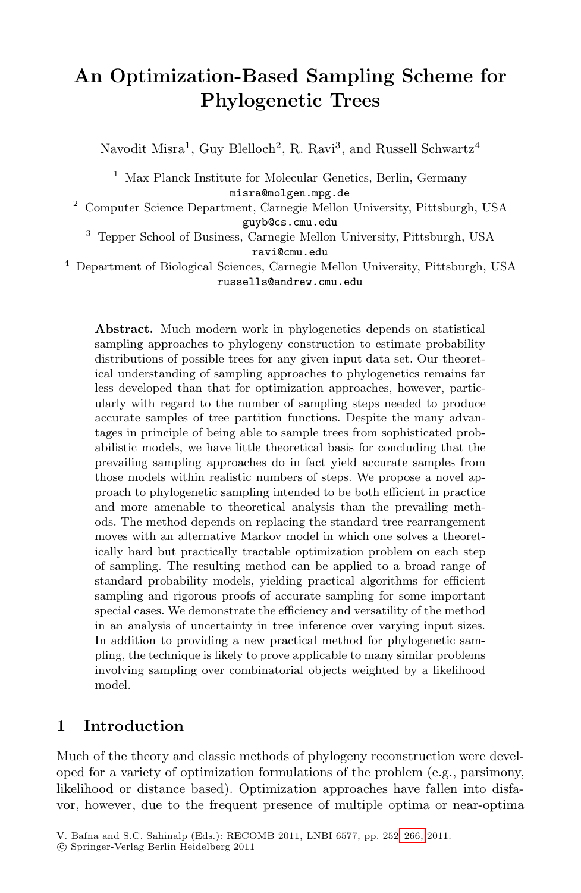# **An Optimization-Based Sampling Scheme for Phylogenetic Trees**

Navodit Misra<sup>1</sup>, Guy Blelloch<sup>2</sup>, R. Ravi<sup>3</sup>, and Russell Schwartz<sup>4</sup>

<sup>1</sup> Max Planck Institute for Molecular Genetics, Berlin, Germany misra@molgen.mpg.de

<sup>2</sup> Computer Science Department, Carnegie Mellon University, Pittsburgh, USA guyb@cs.cmu.edu

 $^3\,$  Tepper School of Business, Carnegie Mellon University, Pittsburgh, USA ravi@cmu.edu

<sup>4</sup> Department of Biological Sciences, Carnegie Mellon University, Pittsburgh, USA russells@andrew.cmu.edu

**Abstract.** Much modern work in phylogenetics depends on statistical sampling approaches to phylogeny construction to estimate probability distributions of possible trees for any given input data set. Our theoretical understanding of sampling approaches to phylogenetics remains far less developed than that for optimization approaches, however, particularly with regard to the number of sampling steps needed to produce accurate samples of tree partition functions. Despite the many advantages in principle of being able to sample trees from sophisticated probabilistic models, we have little theoretical basis for concluding that the prevailing sampling approaches do in fact yield accurate samples from those models within realistic numbers of steps. We propose a novel approach to phylogenetic sampling intended to be both efficient in practice and more amenable to theoretical analysis than the prevailing methods. The method depends on replacing the standard tree rearrangement moves with an alternative Markov model in which one solves a theoretically hard but practically tractable optimization problem on each step of sampling. The resulting method can be applied to a broad range of standard probability models, yielding practical algorithms for efficient sampling and rigorous proofs of accurate sampling for some important special cases. We demonstrate the efficiency and versatility of the method in an analysis of uncertainty in tree inference over varying input sizes. In addition to providing a new practical method for phylogenetic sampling, the technique is likely to prove applicable to many similar problems involving sampling over combinatorial objects weighted by a likelihood model.

## **1 Introduction**

Much of the theory and classic methods of phylogeny reconstruction were developed for a variety of optimization formulations of the problem (e.g., parsimony, likelihood or distance based). Optimization approaches have fallen into disfavor, however, due to the frequent presence of multiple optima or near-optima

V. Bafna and S.C. Sahinalp (Eds.): RECOMB 2011, LNBI 6577, pp. 252[–266,](#page-14-0) 2011.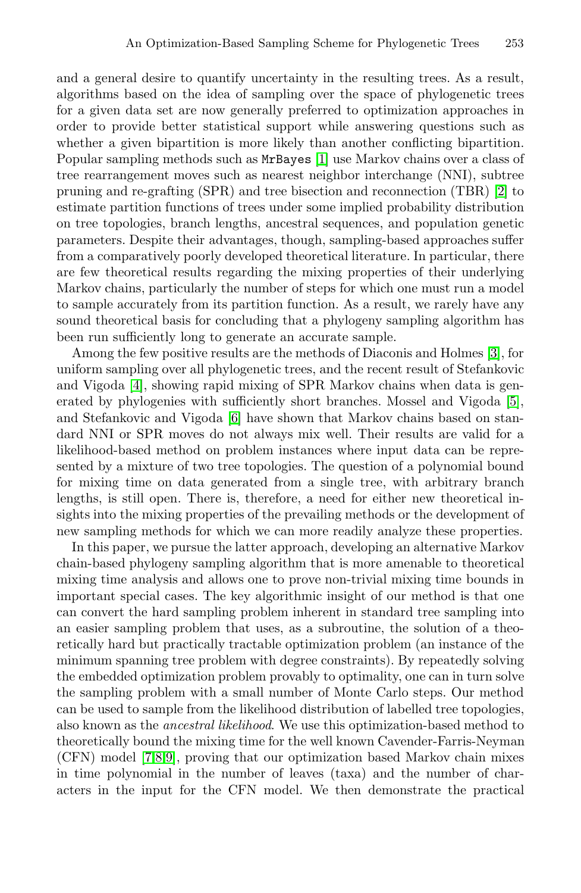and a general desire to quantify uncertainty in the resulting trees. As a result, algorithms based on the idea of sampling over the space of phylogenetic trees for a given data set are now generally preferred to optimization approaches in order to provide better statistical support while answering questions such as whether a given bipartition is more likely than another conflicting bipartition. Popular sampling methods such as MrBayes [\[1\]](#page-13-0) use Markov chains over a class of tree rearrangement moves such as nearest neighbor interchange (NNI), subtree pruning and re-grafting (SPR) and tree bisection and reconnection (TBR) [\[2\]](#page-13-1) to estimate partition functions of trees under some implied probability distribution on tree topologies, branch lengths, ancestral sequences, and population genetic parameters. Despite their advantages, though, sampling-based approaches suffer from a comparatively poorly developed theoretical literature. In particular, there are few theoretical results regarding the mixing properties of their underlying Markov chains, particularly the number of steps for which one must run a model to sample accurately from its partition function. As a result, we rarely have any sound theoretical basis for concluding that a phylogeny sampling algorithm has been run sufficiently long to generate an accurate sample.

Among the few positive results are the methods of Diaconis and Holmes [\[3\]](#page-13-2), for uniform sampling over all phylogenetic trees, and the recent result of Stefankovic and Vigoda [\[4\]](#page-13-3), showing rapid mixing of SPR Markov chains when data is generated by phylogenies with sufficiently short branches. Mossel and Vigoda [\[5\]](#page-14-1), and Stefankovic and Vigoda [\[6\]](#page-14-2) have shown that Markov chains based on standard NNI or SPR moves do not always mix well. Their results are valid for a likelihood-based method on problem instances where input data can be represented by a mixture of two tree topologies. The question of a polynomial bound for mixing time on data generated from a single tree, with arbitrary branch lengths, is still open. There is, therefore, a need for either new theoretical insights into the mixing properties of the prevailing methods or the development of new sampling methods for which we can more readily analyze these properties.

In this paper, we pursue the latter approach, developing an alternative Markov chain-based phylogeny sampling algorithm that is more amenable to theoretical mixing time analysis and allows one to prove non-trivial mixing time bounds in important special cases. The key algorithmic insight of our method is that one can convert the hard sampling problem inherent in standard tree sampling into an easier sampling problem that uses, as a subroutine, the solution of a theoretically hard but practically tractable optimization problem (an instance of the minimum spanning tree problem with degree constraints). By repeatedly solving the embedded optimization problem provably to optimality, one can in turn solve the sampling problem with a small number of Monte Carlo steps. Our method can be used to sample from the likelihood distribution of labelled tree topologies, also known as the *ancestral likelihood*. We use this optimization-based method to theoretically bound the mixing time for the well known Cavender-Farris-Neyman (CFN) model [\[7](#page-14-3)[,8,](#page-14-4)[9\]](#page-14-5), proving that our optimization based Markov chain mixes in time polynomial in the number of leaves (taxa) and the number of characters in the input for the CFN model. We then demonstrate the practical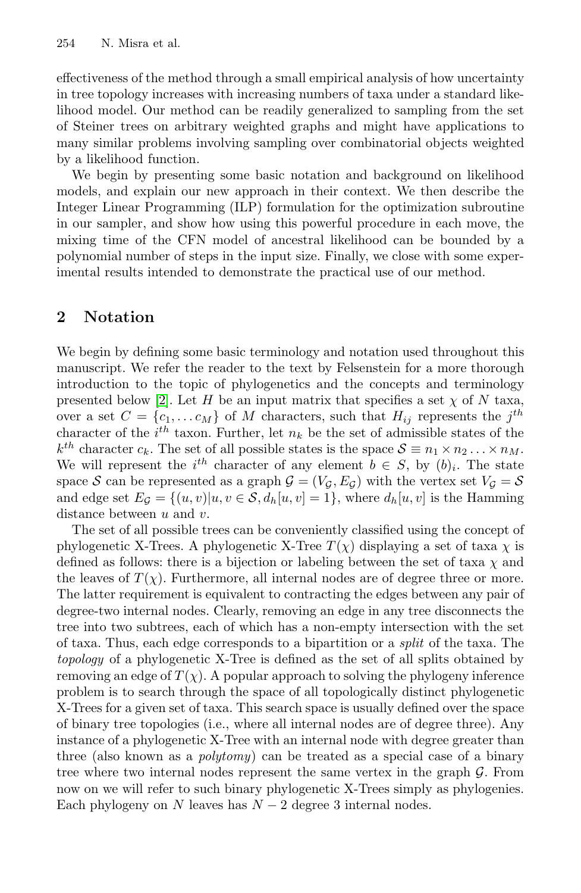effectiveness of the method through a small empirical analysis of how uncertainty in tree topology increases with increasing numbers of taxa under a standard likelihood model. Our method can be readily generalized to sampling from the set of Steiner trees on arbitrary weighted graphs and might have applications to many similar problems involving sampling over combinatorial objects weighted by a likelihood function.

We begin by presenting some basic notation and background on likelihood models, and explain our new approach in their context. We then describe the Integer Linear Programming (ILP) formulation for the optimization subroutine in our sampler, and show how using this powerful procedure in each move, the mixing time of the CFN model of ancestral likelihood can be bounded by a polynomial number of steps in the input size. Finally, we close with some experimental results intended to demonstrate the practical use of our method.

## **2 Notation**

We begin by defining some basic terminology and notation used throughout this manuscript. We refer the reader to the text by Felsenstein for a more thorough introduction to the topic of phylogenetics and the concepts and terminology presented below [\[2\]](#page-13-1). Let H be an input matrix that specifies a set  $\chi$  of N taxa, over a set  $C = \{c_1, \ldots c_M\}$  of M characters, such that  $H_{ij}$  represents the j<sup>th</sup> character of the  $i^{th}$  taxon. Further, let  $n_k$  be the set of admissible states of the  $k^{th}$  character  $c_k$ . The set of all possible states is the space  $S \equiv n_1 \times n_2 \dots \times n_M$ . We will represent the  $i^{th}$  character of any element  $b \in S$ , by  $(b)_i$ . The state space S can be represented as a graph  $\mathcal{G} = (V_{\mathcal{G}}, E_{\mathcal{G}})$  with the vertex set  $V_{\mathcal{G}} = \mathcal{S}$ and edge set  $E_G = \{(u, v)|u, v \in S, d_h[u, v]=1\}$ , where  $d_h[u, v]$  is the Hamming distance between  $u$  and  $v$ .

The set of all possible trees can be conveniently classified using the concept of phylogenetic X-Trees. A phylogenetic X-Tree  $T(\chi)$  displaying a set of taxa  $\chi$  is defined as follows: there is a bijection or labeling between the set of taxa  $\chi$  and the leaves of  $T(\chi)$ . Furthermore, all internal nodes are of degree three or more. The latter requirement is equivalent to contracting the edges between any pair of degree-two internal nodes. Clearly, removing an edge in any tree disconnects the tree into two subtrees, each of which has a non-empty intersection with the set of taxa. Thus, each edge corresponds to a bipartition or a *split* of the taxa. The *topology* of a phylogenetic X-Tree is defined as the set of all splits obtained by removing an edge of  $T(\chi)$ . A popular approach to solving the phylogeny inference problem is to search through the space of all topologically distinct phylogenetic X-Trees for a given set of taxa. This search space is usually defined over the space of binary tree topologies (i.e., where all internal nodes are of degree three). Any instance of a phylogenetic X-Tree with an internal node with degree greater than three (also known as a *polytomy*) can be treated as a special case of a binary tree where two internal nodes represent the same vertex in the graph G. From now on we will refer to such binary phylogenetic X-Trees simply as phylogenies. Each phylogeny on N leaves has  $N-2$  degree 3 internal nodes.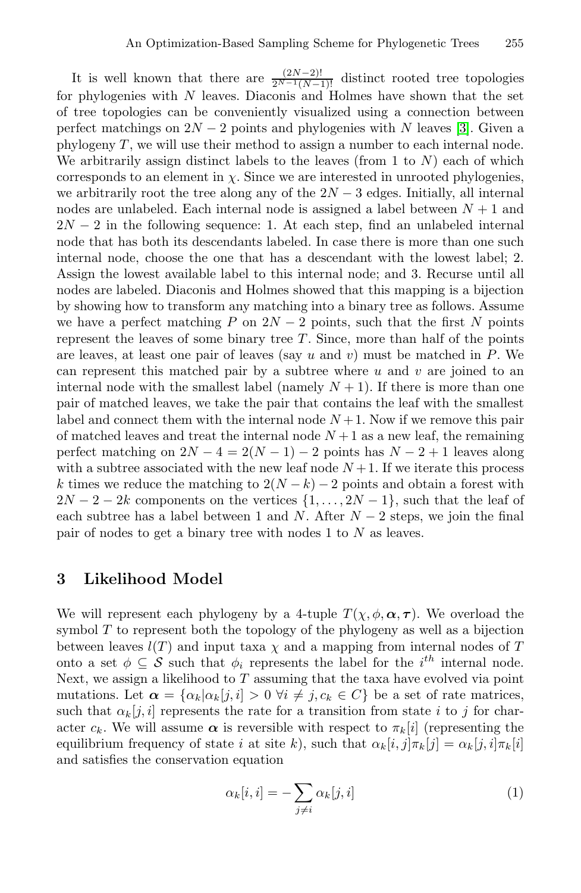It is well known that there are  $\frac{(2N-2)!}{2^{N-1}(N-1)!}$  distinct rooted tree topologies for phylogenies with  $N$  leaves. Diaconis and Holmes have shown that the set of tree topologies can be conveniently visualized using a connection between perfect matchings on  $2N-2$  points and phylogenies with N leaves [\[3\]](#page-13-2). Given a phylogeny  $T$ , we will use their method to assign a number to each internal node. We arbitrarily assign distinct labels to the leaves (from 1 to  $N$ ) each of which corresponds to an element in  $\chi$ . Since we are interested in unrooted phylogenies, we arbitrarily root the tree along any of the  $2N-3$  edges. Initially, all internal nodes are unlabeled. Each internal node is assigned a label between  $N+1$  and  $2N-2$  in the following sequence: 1. At each step, find an unlabeled internal node that has both its descendants labeled. In case there is more than one such internal node, choose the one that has a descendant with the lowest label; 2. Assign the lowest available label to this internal node; and 3. Recurse until all nodes are labeled. Diaconis and Holmes showed that this mapping is a bijection by showing how to transform any matching into a binary tree as follows. Assume we have a perfect matching P on  $2N-2$  points, such that the first N points represent the leaves of some binary tree  $T$ . Since, more than half of the points are leaves, at least one pair of leaves (say  $u$  and  $v$ ) must be matched in  $P$ . We can represent this matched pair by a subtree where  $u$  and  $v$  are joined to an internal node with the smallest label (namely  $N + 1$ ). If there is more than one pair of matched leaves, we take the pair that contains the leaf with the smallest label and connect them with the internal node  $N+1$ . Now if we remove this pair of matched leaves and treat the internal node  $N+1$  as a new leaf, the remaining perfect matching on  $2N - 4 = 2(N - 1) - 2$  points has  $N - 2 + 1$  leaves along with a subtree associated with the new leaf node  $N+1$ . If we iterate this process k times we reduce the matching to  $2(N-k)-2$  points and obtain a forest with  $2N-2-2k$  components on the vertices  $\{1,\ldots,2N-1\}$ , such that the leaf of each subtree has a label between 1 and N. After  $N-2$  steps, we join the final pair of nodes to get a binary tree with nodes 1 to N as leaves.

## **3 Likelihood Model**

We will represent each phylogeny by a 4-tuple  $T(\chi, \phi, \alpha, \tau)$ . We overload the symbol  $T$  to represent both the topology of the phylogeny as well as a bijection between leaves  $l(T)$  and input taxa  $\chi$  and a mapping from internal nodes of T onto a set  $\phi \subseteq \mathcal{S}$  such that  $\phi_i$  represents the label for the i<sup>th</sup> internal node. Next, we assign a likelihood to  $T$  assuming that the taxa have evolved via point mutations. Let  $\alpha = {\alpha_k | \alpha_k | j, i] > 0 \forall i \neq j, c_k \in C}$  be a set of rate matrices, such that  $\alpha_k[j, i]$  represents the rate for a transition from state i to j for character  $c_k$ . We will assume  $\alpha$  is reversible with respect to  $\pi_k[i]$  (representing the equilibrium frequency of state i at site k), such that  $\alpha_k[i,j]\pi_k[j] = \alpha_k[j,i]\pi_k[i]$ and satisfies the conservation equation

$$
\alpha_k[i, i] = -\sum_{j \neq i} \alpha_k[j, i] \tag{1}
$$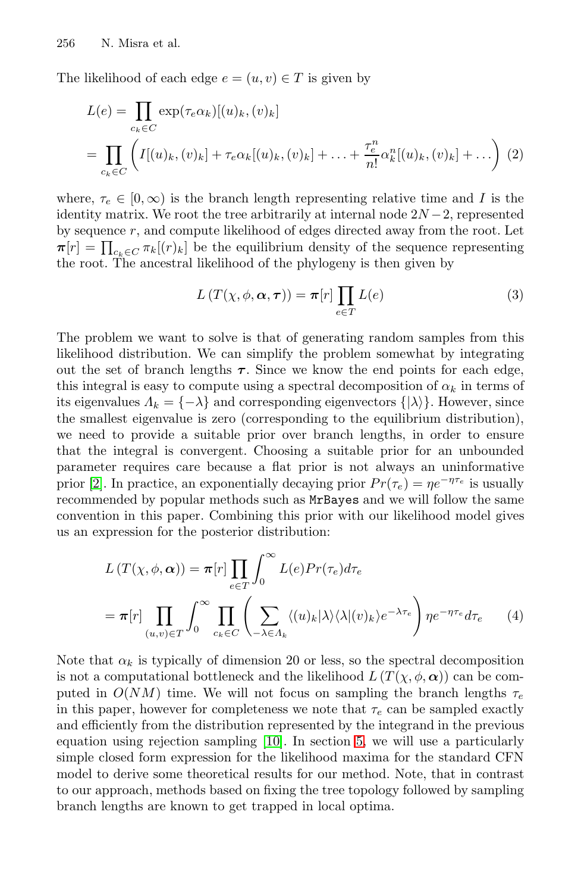The likelihood of each edge  $e = (u, v) \in T$  is given by

$$
L(e) = \prod_{c_k \in C} \exp(\tau_e \alpha_k) [(u)_k, (v)_k]
$$
  
= 
$$
\prod_{c_k \in C} \left( I[(u)_k, (v)_k] + \tau_e \alpha_k [(u)_k, (v)_k] + \ldots + \frac{\tau_e^n}{n!} \alpha_k^n [(u)_k, (v)_k] + \ldots \right) (2)
$$

where,  $\tau_e \in [0, \infty)$  is the branch length representing relative time and I is the identity matrix. We root the tree arbitrarily at internal node  $2N-2$ , represented by sequence  $r$ , and compute likelihood of edges directed away from the root. Let  $\pi[r] = \prod_{c_k \in C} \pi_k[(r)_k]$  be the equilibrium density of the sequence representing the root. The ancestral likelihood of the phylogeny is then given by

$$
L(T(\chi, \phi, \alpha, \tau)) = \pi[r] \prod_{e \in T} L(e)
$$
 (3)

The problem we want to solve is that of generating random samples from this likelihood distribution. We can simplify the problem somewhat by integrating out the set of branch lengths  $\tau$ . Since we know the end points for each edge, this integral is easy to compute using a spectral decomposition of  $\alpha_k$  in terms of its eigenvalues  $\Lambda_k = \{-\lambda\}$  and corresponding eigenvectors  $\{\vert \lambda \rangle\}$ . However, since the smallest eigenvalue is zero (corresponding to the equilibrium distribution), we need to provide a suitable prior over branch lengths, in order to ensure that the integral is convergent. Choosing a suitable prior for an unbounded parameter requires care because a flat prior is not always an uninformative prior [\[2\]](#page-13-1). In practice, an exponentially decaying prior  $Pr(\tau_e) = \eta e^{-\eta \tau_e}$  is usually recommended by popular methods such as MrBayes and we will follow the same convention in this paper. Combining this prior with our likelihood model gives us an expression for the posterior distribution:

$$
L(T(\chi, \phi, \alpha)) = \pi[r] \prod_{e \in T} \int_0^{\infty} L(e) Pr(\tau_e) d\tau_e
$$
  
=  $\pi[r] \prod_{(u,v) \in T} \int_0^{\infty} \prod_{c_k \in C} \left( \sum_{-\lambda \in \Lambda_k} \langle (u)_k | \lambda \rangle \langle \lambda | (v)_k \rangle e^{-\lambda \tau_e} \right) \eta e^{-\eta \tau_e} d\tau_e$  (4)

Note that  $\alpha_k$  is typically of dimension 20 or less, so the spectral decomposition is not a computational bottleneck and the likelihood  $L(T(\chi, \phi, \alpha))$  can be computed in  $O(NM)$  time. We will not focus on sampling the branch lengths  $\tau_e$ in this paper, however for completeness we note that  $\tau_e$  can be sampled exactly and efficiently from the distribution represented by the integrand in the previous equation using rejection sampling [\[10\]](#page-14-6). In section [5,](#page-7-0) we will use a particularly simple closed form expression for the likelihood maxima for the standard CFN model to derive some theoretical results for our method. Note, that in contrast to our approach, methods based on fixing the tree topology followed by sampling branch lengths are known to get trapped in local optima.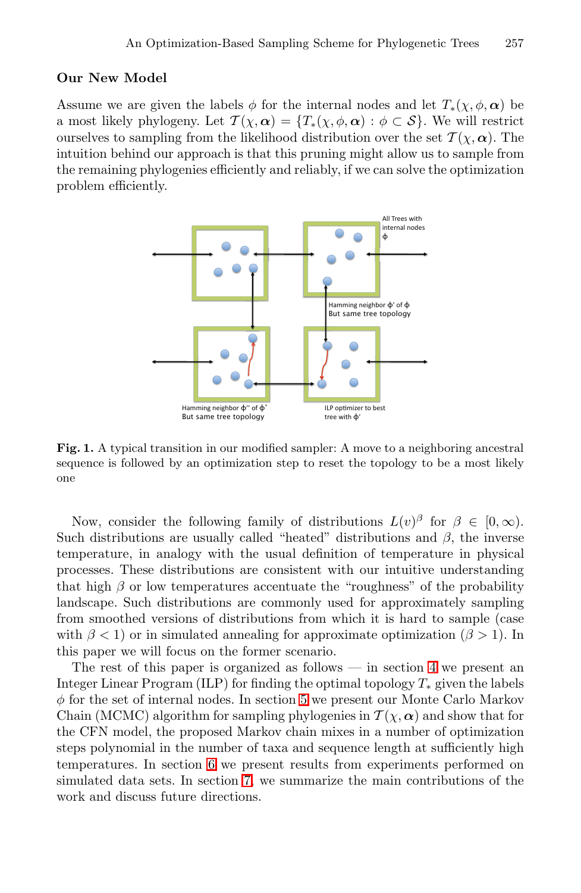#### **Our New Model**

Assume we are given the labels  $\phi$  for the internal nodes and let  $T_*(\chi, \phi, \alpha)$  be a most likely phylogeny. Let  $\mathcal{T}(\chi, \alpha) = \{T_*(\chi, \phi, \alpha) : \phi \subset \mathcal{S}\}\)$ . We will restrict ourselves to sampling from the likelihood distribution over the set  $\mathcal{T}(\chi,\alpha)$ . The intuition behind our approach is that this pruning might allow us to sample from the remaining phylogenies efficiently and reliably, if we can solve the optimization problem efficiently.



**Fig. 1.** A typical transition in our modified sampler: A move to a neighboring ancestral sequence is followed by an optimization step to reset the topology to be a most likely one

Now, consider the following family of distributions  $L(v)^\beta$  for  $\beta \in [0,\infty)$ . Such distributions are usually called "heated" distributions and  $β$ , the inverse temperature, in analogy with the usual definition of temperature in physical processes. These distributions are consistent with our intuitive understanding that high  $\beta$  or low temperatures accentuate the "roughness" of the probability landscape. Such distributions are commonly used for approximately sampling from smoothed versions of distributions from which it is hard to sample (case with  $\beta$  < 1) or in simulated annealing for approximate optimization ( $\beta$  > 1). In this paper we will focus on the former scenario.

The rest of this paper is organized as follows — in section [4](#page-6-0) we present an Integer Linear Program (ILP) for finding the optimal topology  $T_*$  given the labels  $\phi$  for the set of internal nodes. In section [5](#page-7-0) we present our Monte Carlo Markov Chain (MCMC) algorithm for sampling phylogenies in  $\mathcal{T}(\chi, \alpha)$  and show that for the CFN model, the proposed Markov chain mixes in a number of optimization steps polynomial in the number of taxa and sequence length at sufficiently high temperatures. In section [6](#page-9-0) we present results from experiments performed on simulated data sets. In section [7,](#page-13-4) we summarize the main contributions of the work and discuss future directions.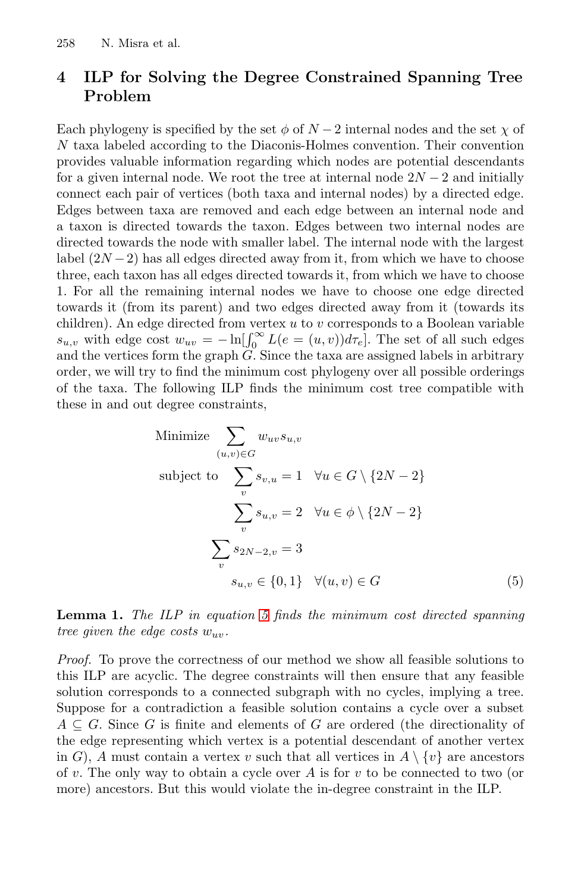# <span id="page-6-0"></span>**4 ILP for Solving the Degree Constrained Spanning Tree Problem**

Each phylogeny is specified by the set  $\phi$  of  $N-2$  internal nodes and the set  $\chi$  of N taxa labeled according to the Diaconis-Holmes convention. Their convention provides valuable information regarding which nodes are potential descendants for a given internal node. We root the tree at internal node  $2N-2$  and initially connect each pair of vertices (both taxa and internal nodes) by a directed edge. Edges between taxa are removed and each edge between an internal node and a taxon is directed towards the taxon. Edges between two internal nodes are directed towards the node with smaller label. The internal node with the largest label  $(2N-2)$  has all edges directed away from it, from which we have to choose three, each taxon has all edges directed towards it, from which we have to choose 1. For all the remaining internal nodes we have to choose one edge directed towards it (from its parent) and two edges directed away from it (towards its children). An edge directed from vertex  $u$  to  $v$  corresponds to a Boolean variable  $s_{u,v}$  with edge cost  $w_{uv} = -\ln[\int_0^\infty L(e = (u, v))d\tau_e]$ . The set of all such edges and the vertices form the graph  $G$ . Since the taxa are assigned labels in arbitrary order, we will try to find the minimum cost phylogeny over all possible orderings of the taxa. The following ILP finds the minimum cost tree compatible with these in and out degree constraints,

<span id="page-6-1"></span>Minimize 
$$
\sum_{(u,v)\in G} w_{uv} s_{u,v}
$$
  
\nsubject to 
$$
\sum_{v} s_{v,u} = 1 \quad \forall u \in G \setminus \{2N-2\}
$$

$$
\sum_{v} s_{u,v} = 2 \quad \forall u \in \phi \setminus \{2N-2\}
$$

$$
\sum_{v} s_{2N-2,v} = 3
$$

$$
s_{u,v} \in \{0,1\} \quad \forall (u,v) \in G
$$
(5)

**Lemma 1.** *The ILP in equation [5](#page-6-1) finds the minimum cost directed spanning tree given the edge costs*  $w_{uv}$ .

*Proof.* To prove the correctness of our method we show all feasible solutions to this ILP are acyclic. The degree constraints will then ensure that any feasible solution corresponds to a connected subgraph with no cycles, implying a tree. Suppose for a contradiction a feasible solution contains a cycle over a subset  $A \subseteq G$ . Since G is finite and elements of G are ordered (the directionality of the edge representing which vertex is a potential descendant of another vertex in G), A must contain a vertex v such that all vertices in  $A \setminus \{v\}$  are ancestors of  $v$ . The only way to obtain a cycle over  $A$  is for  $v$  to be connected to two (or more) ancestors. But this would violate the in-degree constraint in the ILP.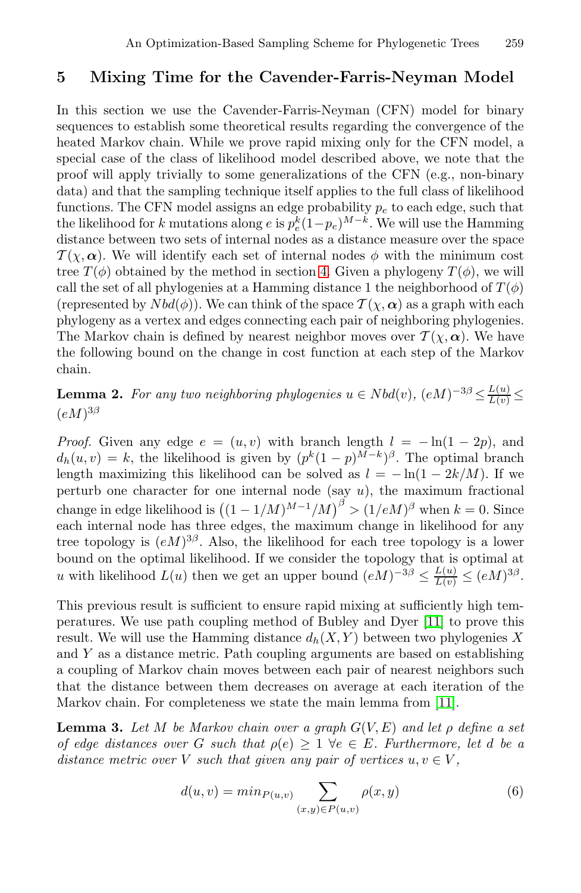### <span id="page-7-0"></span>**5 Mixing Time for the Cavender-Farris-Neyman Model**

In this section we use the Cavender-Farris-Neyman (CFN) model for binary sequences to establish some theoretical results regarding the convergence of the heated Markov chain. While we prove rapid mixing only for the CFN model, a special case of the class of likelihood model described above, we note that the proof will apply trivially to some generalizations of the CFN (e.g., non-binary data) and that the sampling technique itself applies to the full class of likelihood functions. The CFN model assigns an edge probability  $p_e$  to each edge, such that the likelihood for k mutations along e is  $p_e^k (1-p_e)^{M-k}$ . We will use the Hamming distance between two sets of internal nodes as a distance measure over the space  $\mathcal{T}(\chi,\alpha)$ . We will identify each set of internal nodes  $\phi$  with the minimum cost tree  $T(\phi)$  obtained by the method in section [4.](#page-6-0) Given a phylogeny  $T(\phi)$ , we will call the set of all phylogenies at a Hamming distance 1 the neighborhood of  $T(\phi)$ (represented by  $Nbd(\phi)$ ). We can think of the space  $\mathcal{T}(\chi, \alpha)$  as a graph with each phylogeny as a vertex and edges connecting each pair of neighboring phylogenies. The Markov chain is defined by nearest neighbor moves over  $\mathcal{T}(\chi,\alpha)$ . We have the following bound on the change in cost function at each step of the Markov chain.

<span id="page-7-1"></span>**Lemma 2.** *For any two neighboring phylogenies*  $u \in Nbd(v)$ ,  $(eM)^{-3\beta} \leq \frac{L(u)}{L(v)} \leq$  $(eM)^{3\beta}$ 

*Proof.* Given any edge  $e = (u, v)$  with branch length  $l = -\ln(1 - 2p)$ , and  $d_h(u, v) = k$ , the likelihood is given by  $(p^k(1-p)^{M-k})^{\beta}$ . The optimal branch length maximizing this likelihood can be solved as  $l = -\ln(1 - 2k/M)$ . If we perturb one character for one internal node (say  $u$ ), the maximum fractional change in edge likelihood is  $((1 - 1/M)^{M-1}/M)^{\beta} > (1/eM)^{\beta}$  when  $k = 0$ . Since each internal node has three edges, the maximum change in likelihood for any tree topology is  $(eM)^{3\beta}$ . Also, the likelihood for each tree topology is a lower bound on the optimal likelihood. If we consider the topology that is optimal at u with likelihood  $L(u)$  then we get an upper bound  $(eM)^{-3\beta} \leq \frac{L(u)}{L(v)} \leq (eM)^{3\beta}$ .

This previous result is sufficient to ensure rapid mixing at sufficiently high temperatures. We use path coupling method of Bubley and Dyer [\[11\]](#page-14-7) to prove this result. We will use the Hamming distance  $d_h(X, Y)$  between two phylogenies X and Y as a distance metric. Path coupling arguments are based on establishing a coupling of Markov chain moves between each pair of nearest neighbors such that the distance between them decreases on average at each iteration of the Markov chain. For completeness we state the main lemma from [\[11\]](#page-14-7).

**Lemma 3.** *Let* M *be Markov chain over a graph*  $G(V, E)$  *and let*  $\rho$  *define a set of edge distances over* G *such that*  $\rho(e) \geq 1 \ \forall e \in E$ . Furthermore, let d be a *distance metric over* V *such that given any pair of vertices*  $u, v \in V$ *,* 

<span id="page-7-2"></span>
$$
d(u, v) = min_{P(u,v)} \sum_{(x,y) \in P(u,v)} \rho(x,y)
$$
 (6)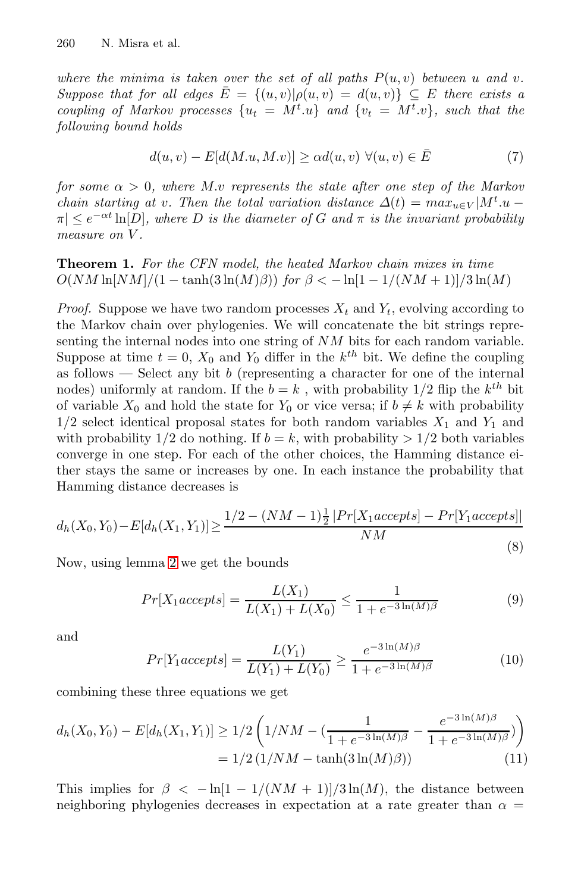*where the minima is taken over the set of all paths*  $P(u, v)$  *between* u and v. *Suppose that for all edges*  $\overline{E} = \{(u, v) | \rho(u, v) = d(u, v)\} \subseteq E$  *there exists a coupling of Markov processes*  $\{u_t = M^t u\}$  *and*  $\{v_t = M^t v\}$ *, such that the following bound holds*

$$
d(u, v) - E[d(M, u, M, v)] \ge \alpha d(u, v) \ \forall (u, v) \in \overline{E}
$$
\n
$$
(7)
$$

*for some*  $\alpha > 0$ *, where* M.v *represents the state after one step of the Markov chain starting at v. Then the total variation distance*  $\Delta(t) = max_{u \in V} |M^t.u \pi$   $\leq e^{-\alpha t}$  ln[D], where D *is the diameter of* G *and*  $\pi$  *is the invariant probability measure on* V *.*

**Theorem 1.** *For the CFN model, the heated Markov chain mixes in time*  $O(NM \ln[NM]/(1 - \tanh(3 \ln(M)\beta))$  *for*  $\beta < -\ln[1 - 1/(NM + 1)]/3 \ln(M)$ 

*Proof.* Suppose we have two random processes  $X_t$  and  $Y_t$ , evolving according to the Markov chain over phylogenies. We will concatenate the bit strings representing the internal nodes into one string of NM bits for each random variable. Suppose at time  $t = 0$ ,  $X_0$  and  $Y_0$  differ in the  $k^{th}$  bit. We define the coupling as follows  $-$  Select any bit b (representing a character for one of the internal nodes) uniformly at random. If the  $b = k$ , with probability 1/2 flip the  $k^{th}$  bit of variable  $X_0$  and hold the state for  $Y_0$  or vice versa; if  $b \neq k$  with probability  $1/2$  select identical proposal states for both random variables  $X_1$  and  $Y_1$  and with probability  $1/2$  do nothing. If  $b = k$ , with probability  $> 1/2$  both variables converge in one step. For each of the other choices, the Hamming distance either stays the same or increases by one. In each instance the probability that Hamming distance decreases is

$$
d_h(X_0, Y_0) - E[d_h(X_1, Y_1)] \ge \frac{1/2 - (NM - 1)\frac{1}{2}|Pr[X_1accepts] - Pr[Y_1accepts]|}{NM}
$$
\n(8)

Now, using lemma [2](#page-7-1) we get the bounds

$$
Pr[X_1 accepts] = \frac{L(X_1)}{L(X_1) + L(X_0)} \le \frac{1}{1 + e^{-3\ln(M)\beta}}
$$
(9)

and

$$
Pr[Y_1 accepts] = \frac{L(Y_1)}{L(Y_1) + L(Y_0)} \ge \frac{e^{-3\ln(M)\beta}}{1 + e^{-3\ln(M)\beta}}
$$
(10)

combining these three equations we get

$$
d_h(X_0, Y_0) - E[d_h(X_1, Y_1)] \ge 1/2 \left( 1/NM - \left( \frac{1}{1 + e^{-3\ln(M)\beta}} - \frac{e^{-3\ln(M)\beta}}{1 + e^{-3\ln(M)\beta}} \right) \right)
$$
  
= 1/2 \left( 1/NM - \tanh(3\ln(M)\beta) \right) (11)

This implies for  $\beta < -\ln[1 - 1/(NM + 1)]/3 \ln(M)$ , the distance between neighboring phylogenies decreases in expectation at a rate greater than  $\alpha =$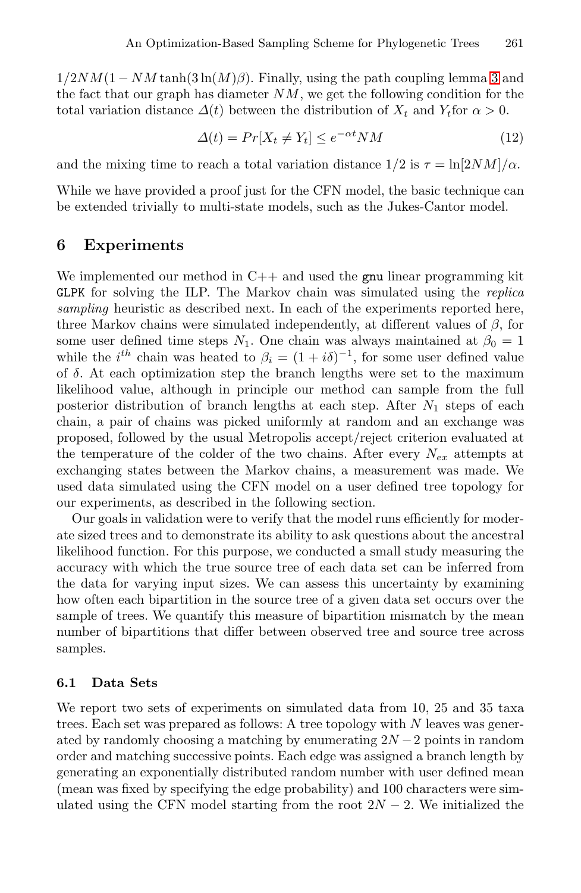$1/2NM(1-NM\tanh(3\ln(M)\beta))$ . Finally, using the path coupling lemma [3](#page-7-2) and the fact that our graph has diameter  $NM$ , we get the following condition for the total variation distance  $\Delta(t)$  between the distribution of  $X_t$  and  $Y_t$  for  $\alpha > 0$ .

$$
\Delta(t) = Pr[X_t \neq Y_t] \le e^{-\alpha t} NM \tag{12}
$$

and the mixing time to reach a total variation distance  $1/2$  is  $\tau = \ln[2NM]/\alpha$ .

While we have provided a proof just for the CFN model, the basic technique can be extended trivially to multi-state models, such as the Jukes-Cantor model.

## <span id="page-9-0"></span>**6 Experiments**

We implemented our method in  $C_{++}$  and used the gnu linear programming kit GLPK for solving the ILP. The Markov chain was simulated using the *replica sampling* heuristic as described next. In each of the experiments reported here, three Markov chains were simulated independently, at different values of  $\beta$ , for some user defined time steps  $N_1$ . One chain was always maintained at  $\beta_0 = 1$ while the  $i^{th}$  chain was heated to  $\beta_i = (1 + i\delta)^{-1}$ , for some user defined value of  $\delta$ . At each optimization step the branch lengths were set to the maximum likelihood value, although in principle our method can sample from the full posterior distribution of branch lengths at each step. After  $N_1$  steps of each chain, a pair of chains was picked uniformly at random and an exchange was proposed, followed by the usual Metropolis accept/reject criterion evaluated at the temperature of the colder of the two chains. After every  $N_{ex}$  attempts at exchanging states between the Markov chains, a measurement was made. We used data simulated using the CFN model on a user defined tree topology for our experiments, as described in the following section.

Our goals in validation were to verify that the model runs efficiently for moderate sized trees and to demonstrate its ability to ask questions about the ancestral likelihood function. For this purpose, we conducted a small study measuring the accuracy with which the true source tree of each data set can be inferred from the data for varying input sizes. We can assess this uncertainty by examining how often each bipartition in the source tree of a given data set occurs over the sample of trees. We quantify this measure of bipartition mismatch by the mean number of bipartitions that differ between observed tree and source tree across samples.

### **6.1 Data Sets**

We report two sets of experiments on simulated data from 10, 25 and 35 taxa trees. Each set was prepared as follows: A tree topology with N leaves was generated by randomly choosing a matching by enumerating  $2N-2$  points in random order and matching successive points. Each edge was assigned a branch length by generating an exponentially distributed random number with user defined mean (mean was fixed by specifying the edge probability) and 100 characters were simulated using the CFN model starting from the root  $2N-2$ . We initialized the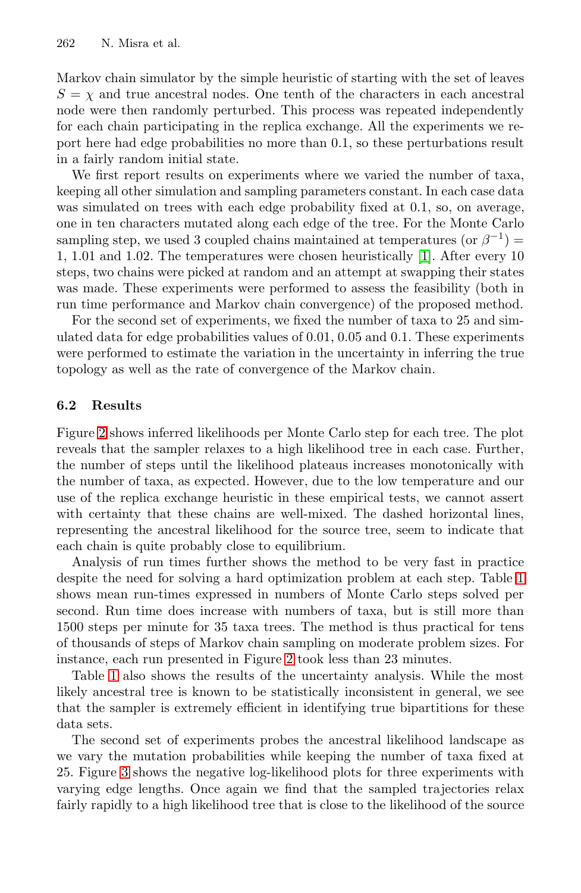Markov chain simulator by the simple heuristic of starting with the set of leaves  $S = \chi$  and true ancestral nodes. One tenth of the characters in each ancestral node were then randomly perturbed. This process was repeated independently for each chain participating in the replica exchange. All the experiments we report here had edge probabilities no more than 0.1, so these perturbations result in a fairly random initial state.

We first report results on experiments where we varied the number of taxa, keeping all other simulation and sampling parameters constant. In each case data was simulated on trees with each edge probability fixed at 0.1, so, on average, one in ten characters mutated along each edge of the tree. For the Monte Carlo sampling step, we used 3 coupled chains maintained at temperatures (or  $\beta^{-1}$ ) = 1, 1.01 and 1.02. The temperatures were chosen heuristically [\[1\]](#page-13-0). After every 10 steps, two chains were picked at random and an attempt at swapping their states was made. These experiments were performed to assess the feasibility (both in run time performance and Markov chain convergence) of the proposed method.

For the second set of experiments, we fixed the number of taxa to 25 and simulated data for edge probabilities values of 0.01, 0.05 and 0.1. These experiments were performed to estimate the variation in the uncertainty in inferring the true topology as well as the rate of convergence of the Markov chain.

#### **6.2 Results**

Figure [2](#page-11-0) shows inferred likelihoods per Monte Carlo step for each tree. The plot reveals that the sampler relaxes to a high likelihood tree in each case. Further, the number of steps until the likelihood plateaus increases monotonically with the number of taxa, as expected. However, due to the low temperature and our use of the replica exchange heuristic in these empirical tests, we cannot assert with certainty that these chains are well-mixed. The dashed horizontal lines, representing the ancestral likelihood for the source tree, seem to indicate that each chain is quite probably close to equilibrium.

Analysis of run times further shows the method to be very fast in practice despite the need for solving a hard optimization problem at each step. Table [1](#page-11-1) shows mean run-times expressed in numbers of Monte Carlo steps solved per second. Run time does increase with numbers of taxa, but is still more than 1500 steps per minute for 35 taxa trees. The method is thus practical for tens of thousands of steps of Markov chain sampling on moderate problem sizes. For instance, each run presented in Figure [2](#page-11-0) took less than 23 minutes.

Table [1](#page-11-1) also shows the results of the uncertainty analysis. While the most likely ancestral tree is known to be statistically inconsistent in general, we see that the sampler is extremely efficient in identifying true bipartitions for these data sets.

The second set of experiments probes the ancestral likelihood landscape as we vary the mutation probabilities while keeping the number of taxa fixed at 25. Figure [3](#page-12-0) shows the negative log-likelihood plots for three experiments with varying edge lengths. Once again we find that the sampled trajectories relax fairly rapidly to a high likelihood tree that is close to the likelihood of the source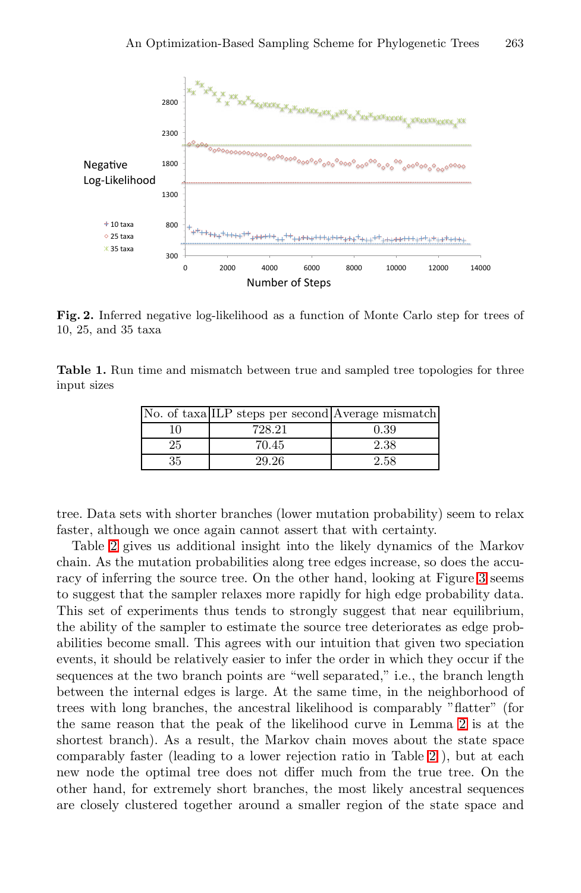

<span id="page-11-0"></span>**Fig. 2.** Inferred negative log-likelihood as a function of Monte Carlo step for trees of 10, 25, and 35 taxa

**Table 1.** Run time and mismatch between true and sampled tree topologies for three input sizes

<span id="page-11-1"></span>

|    | No. of taxa ILP steps per second Average mismatch |      |
|----|---------------------------------------------------|------|
|    | 728.21                                            | 0.39 |
| 25 | 70.45                                             | 2.38 |
| 35 | 29.26                                             | 2.58 |

tree. Data sets with shorter branches (lower mutation probability) seem to relax faster, although we once again cannot assert that with certainty.

Table [2](#page-12-1) gives us additional insight into the likely dynamics of the Markov chain. As the mutation probabilities along tree edges increase, so does the accuracy of inferring the source tree. On the other hand, looking at Figure [3](#page-12-0) seems to suggest that the sampler relaxes more rapidly for high edge probability data. This set of experiments thus tends to strongly suggest that near equilibrium, the ability of the sampler to estimate the source tree deteriorates as edge probabilities become small. This agrees with our intuition that given two speciation events, it should be relatively easier to infer the order in which they occur if the sequences at the two branch points are "well separated," i.e., the branch length between the internal edges is large. At the same time, in the neighborhood of trees with long branches, the ancestral likelihood is comparably "flatter" (for the same reason that the peak of the likelihood curve in Lemma [2](#page-7-1) is at the shortest branch). As a result, the Markov chain moves about the state space comparably faster (leading to a lower rejection ratio in Table [2](#page-12-1) ), but at each new node the optimal tree does not differ much from the true tree. On the other hand, for extremely short branches, the most likely ancestral sequences are closely clustered together around a smaller region of the state space and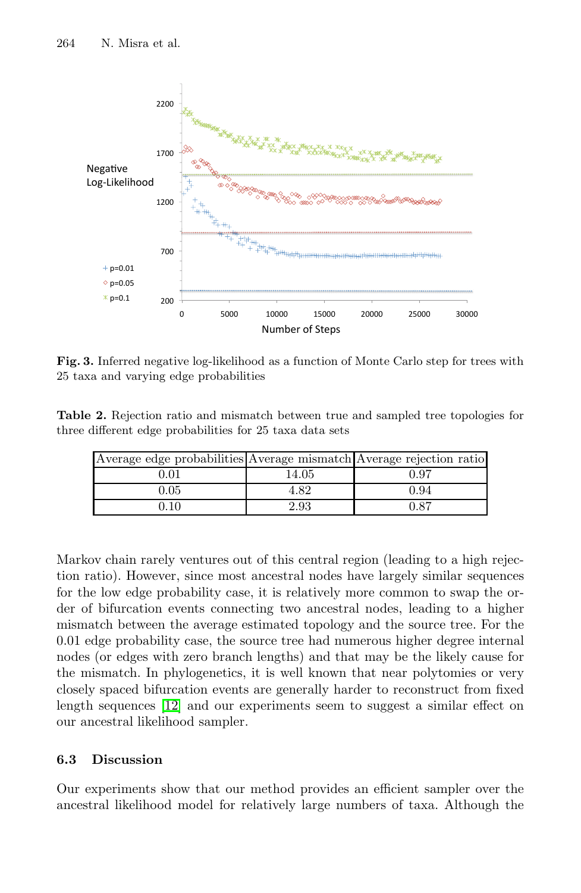

<span id="page-12-0"></span>**Fig. 3.** Inferred negative log-likelihood as a function of Monte Carlo step for trees with 25 taxa and varying edge probabilities

**Table 2.** Rejection ratio and mismatch between true and sampled tree topologies for three different edge probabilities for 25 taxa data sets

<span id="page-12-1"></span>

| Average edge probabilities Average mismatch Average rejection ratio |       |      |
|---------------------------------------------------------------------|-------|------|
| 0.1                                                                 | 14.05 | 0.97 |
| 0.05                                                                | 4.82  | 0.94 |
| ነ 1በ                                                                | 2.93  | 0.87 |

Markov chain rarely ventures out of this central region (leading to a high rejection ratio). However, since most ancestral nodes have largely similar sequences for the low edge probability case, it is relatively more common to swap the order of bifurcation events connecting two ancestral nodes, leading to a higher mismatch between the average estimated topology and the source tree. For the 0.01 edge probability case, the source tree had numerous higher degree internal nodes (or edges with zero branch lengths) and that may be the likely cause for the mismatch. In phylogenetics, it is well known that near polytomies or very closely spaced bifurcation events are generally harder to reconstruct from fixed length sequences [\[12\]](#page-14-8) and our experiments seem to suggest a similar effect on our ancestral likelihood sampler.

## **6.3 Discussion**

Our experiments show that our method provides an efficient sampler over the ancestral likelihood model for relatively large numbers of taxa. Although the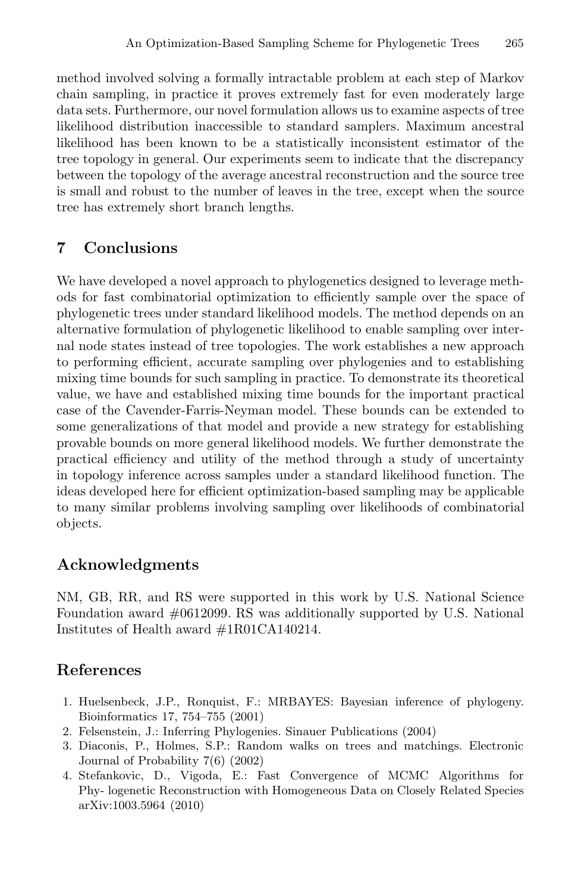method involved solving a formally intractable problem at each step of Markov chain sampling, in practice it proves extremely fast for even moderately large data sets. Furthermore, our novel formulation allows us to examine aspects of tree likelihood distribution inaccessible to standard samplers. Maximum ancestral likelihood has been known to be a statistically inconsistent estimator of the tree topology in general. Our experiments seem to indicate that the discrepancy between the topology of the average ancestral reconstruction and the source tree is small and robust to the number of leaves in the tree, except when the source tree has extremely short branch lengths.

# <span id="page-13-4"></span>**7 Conclusions**

We have developed a novel approach to phylogenetics designed to leverage methods for fast combinatorial optimization to efficiently sample over the space of phylogenetic trees under standard likelihood models. The method depends on an alternative formulation of phylogenetic likelihood to enable sampling over internal node states instead of tree topologies. The work establishes a new approach to performing efficient, accurate sampling over phylogenies and to establishing mixing time bounds for such sampling in practice. To demonstrate its theoretical value, we have and established mixing time bounds for the important practical case of the Cavender-Farris-Neyman model. These bounds can be extended to some generalizations of that model and provide a new strategy for establishing provable bounds on more general likelihood models. We further demonstrate the practical efficiency and utility of the method through a study of uncertainty in topology inference across samples under a standard likelihood function. The ideas developed here for efficient optimization-based sampling may be applicable to many similar problems involving sampling over likelihoods of combinatorial objects.

# **Acknowledgments**

NM, GB, RR, and RS were supported in this work by U.S. National Science Foundation award #0612099. RS was additionally supported by U.S. National Institutes of Health award #1R01CA140214.

# **References**

- <span id="page-13-0"></span>1. Huelsenbeck, J.P., Ronquist, F.: MRBAYES: Bayesian inference of phylogeny. Bioinformatics 17, 754–755 (2001)
- <span id="page-13-2"></span><span id="page-13-1"></span>2. Felsenstein, J.: Inferring Phylogenies. Sinauer Publications (2004)
- 3. Diaconis, P., Holmes, S.P.: Random walks on trees and matchings. Electronic Journal of Probability 7(6) (2002)
- <span id="page-13-3"></span>4. Stefankovic, D., Vigoda, E.: Fast Convergence of MCMC Algorithms for Phy- logenetic Reconstruction with Homogeneous Data on Closely Related Species arXiv:1003.5964 (2010)